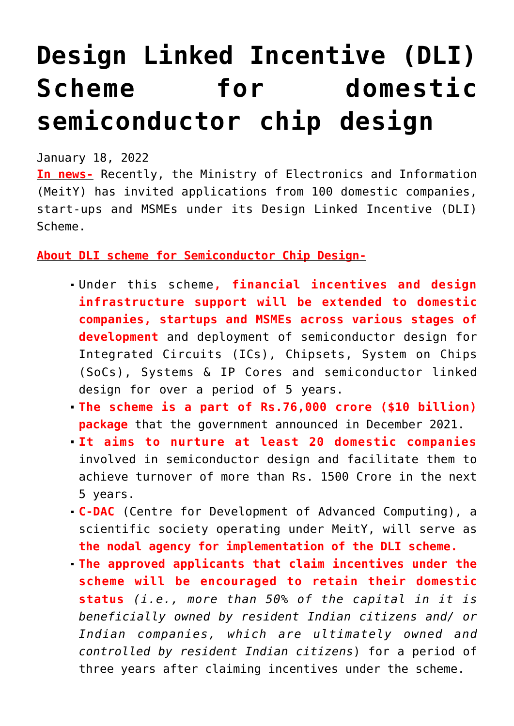## **[Design Linked Incentive \(DLI\)](https://journalsofindia.com/design-linked-incentive-dli-scheme-for-domestic-semiconductor-chip-design/) [Scheme for domestic](https://journalsofindia.com/design-linked-incentive-dli-scheme-for-domestic-semiconductor-chip-design/) [semiconductor chip design](https://journalsofindia.com/design-linked-incentive-dli-scheme-for-domestic-semiconductor-chip-design/)**

January 18, 2022

**In news-** Recently, the Ministry of Electronics and Information (MeitY) has invited applications from 100 domestic companies, start-ups and MSMEs under its Design Linked Incentive (DLI) Scheme.

**About DLI scheme for Semiconductor Chip Design-**

- Under this scheme**, financial incentives and design infrastructure support will be extended to domestic companies, startups and MSMEs across various stages of development** and deployment of semiconductor design for Integrated Circuits (ICs), Chipsets, System on Chips (SoCs), Systems & IP Cores and semiconductor linked design for over a period of 5 years.
- **The scheme is a part of Rs.76,000 crore (\$10 billion) package** that the government announced in December 2021.
- **It aims to nurture at least 20 domestic companies** involved in semiconductor design and facilitate them to achieve turnover of more than Rs. 1500 Crore in the next 5 years.
- **C-DAC** (Centre for Development of Advanced Computing), a scientific society operating under MeitY, will serve as **the nodal agency for implementation of the DLI scheme.**
- **The approved applicants that claim incentives under the scheme will be encouraged to retain their domestic status** *(i.e., more than 50% of the capital in it is beneficially owned by resident Indian citizens and/ or Indian companies, which are ultimately owned and controlled by resident Indian citizens*) for a period of three years after claiming incentives under the scheme.